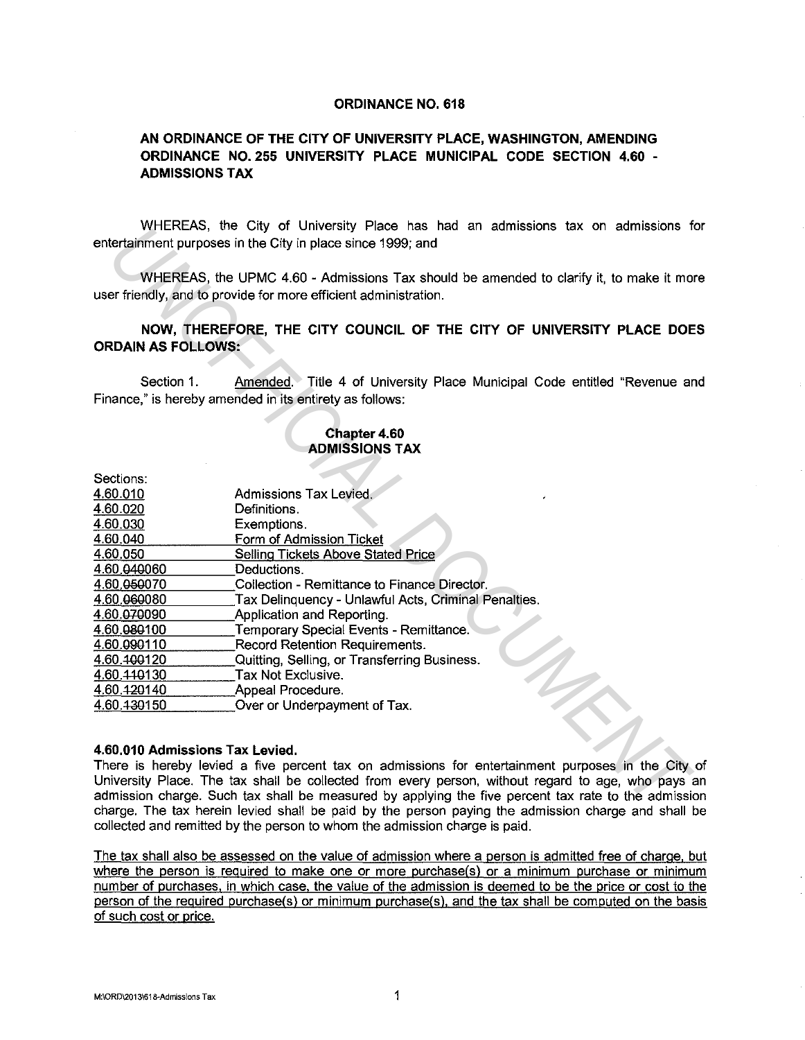### **ORDINANCE NO. 618**

# **AN ORDINANCE OF THE CITY OF UNIVERSITY PLACE, WASHINGTON, AMENDING ORDINANCE NO. 255 UNIVERSITY PLACE MUNICIPAL CODE SECTION 4.60** - **ADMISSIONS TAX**

WHEREAS, the City of University Place has had an admissions tax on admissions for entertainment purposes in the City in place since 1999; and

#### **Chapter 4.60 ADMISSIONS TAX**

|                                 | VUTEREAS, the City of University Place has had an admissions tax on admissions t<br>entertainment purposes in the City in place since 1999; and            |
|---------------------------------|------------------------------------------------------------------------------------------------------------------------------------------------------------|
|                                 | WHEREAS, the UPMC 4.60 - Admissions Tax should be amended to clarify it, to make it mo<br>user friendly, and to provide for more efficient administration. |
| <b>ORDAIN AS FOLLOWS:</b>       | NOW, THEREFORE, THE CITY COUNCIL OF THE CITY OF UNIVERSITY PLACE DOE                                                                                       |
| Section 1.                      | Amended. Title 4 of University Place Municipal Code entitled "Revenue are<br>Finance," is hereby amended in its entirety as follows:                       |
|                                 | Chapter 4.60<br><b>ADMISSIONS TAX</b>                                                                                                                      |
| Sections:                       |                                                                                                                                                            |
| 4.60.010                        | Admissions Tax Levied.                                                                                                                                     |
| 4.60.020                        | Definitions.                                                                                                                                               |
| 4.60.030                        | Exemptions.                                                                                                                                                |
| 4.60.040                        | Form of Admission Ticket                                                                                                                                   |
| 4.60.050                        | <b>Selling Tickets Above Stated Price</b>                                                                                                                  |
| 4.60.040060                     | Deductions.                                                                                                                                                |
| 4.60.050070                     | Collection - Remittance to Finance Director.                                                                                                               |
| 4.60.060080                     | Tax Delinquency - Unlawful Acts, Criminal Penalties.                                                                                                       |
| 4.60.070090                     | Application and Reporting.                                                                                                                                 |
| 4.60 080100                     | Temporary Special Events - Remittance.                                                                                                                     |
| 4.60.090110                     | Record Retention Requirements.                                                                                                                             |
| 4.60.400120                     | Quitting, Selling, or Transferring Business.                                                                                                               |
| 4.60.440130                     | Tax Not Exclusive.                                                                                                                                         |
| 4.60.420140                     | Appeal Procedure.                                                                                                                                          |
| 4.60.430150                     | Over or Underpayment of Tax.                                                                                                                               |
| 4.60,010 Admissions Tax Levied. |                                                                                                                                                            |
|                                 | There is hereby levied a five percent tax on admissions for entertainment purposes in the City                                                             |
|                                 | University Place. The tax shall be collected from every person, without regard to age, who pays a                                                          |
|                                 | admission charge. Such tax shall be measured by applying the five percent tax rate to the admissio                                                         |
|                                 | charge. The tay berein lovied shall be naid by the norson paying the admission obarge and shall l                                                          |

### **4.60.010 Admissions Tax Levied.**

There is hereby levied a five percent tax on admissions for entertainment purposes in the City of University Place. The tax shall be collected from every person, without regard to age, who pays an admission charge. Such tax shall be measured by applying the five percent tax rate to the admission charge. The tax herein levied shall be paid by the person paying the admission charge and shall be collected and remitted by the person to whom the admission charge is paid.

The tax shall also be assessed on the value of admission where a person is admitted free of charge, but where the person is required to make one or more purchase(s) or a minimum purchase or minimum number of purchases, in which case. the value of the admission is deemed to be the price or cost to the person of the required purchase(s) or minimum purchase(s), and the tax shall be computed on the basis of such cost or price.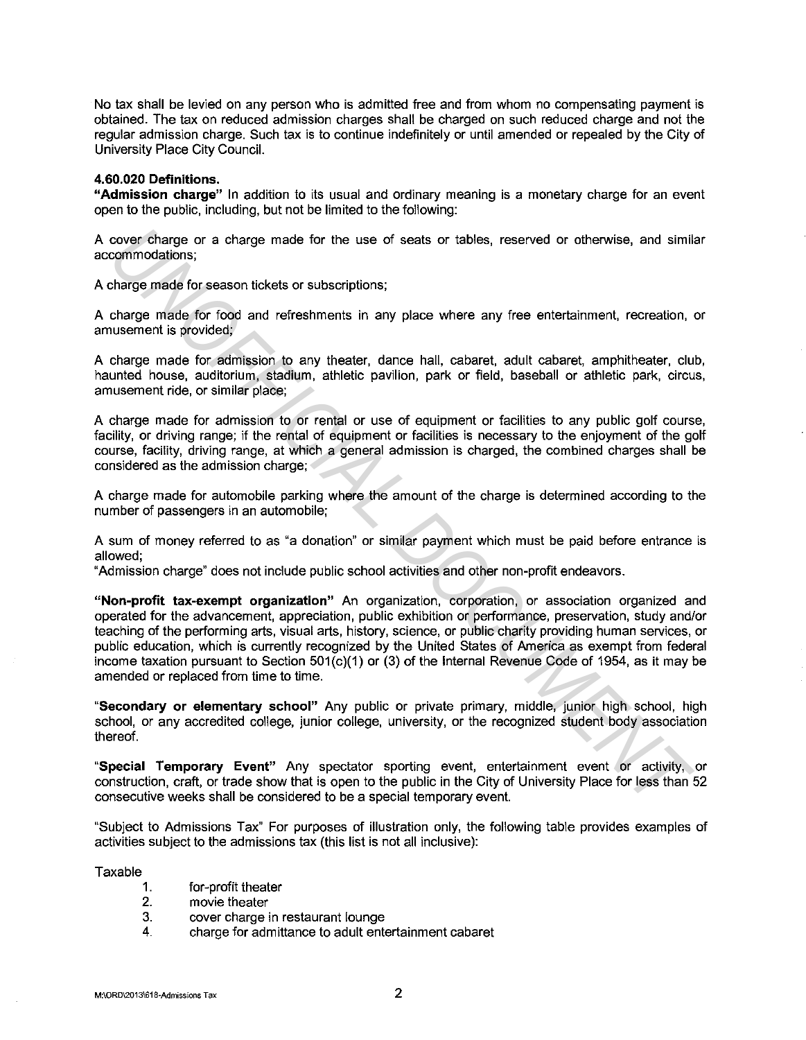No tax shall be levied on any person who is admitted free and from whom no compensating payment is obtained. The tax on reduced admission charges shall be charged on such reduced charge and not the regular admission charge. Such tax is to continue indefinitely or until amended or repealed by the City of University Place City Council.

#### **4.60.020 Definitions.**

**"Admission charge"** In addition to its usual and ordinary meaning is a monetary charge for an event open to the public, including, but not be limited to the following:

A cover charge or a charge made for the use of seats or tables, reserved or otherwise, and similar accommodations;

A charge made for season tickets or subscriptions;

A charge made for food and refreshments in any place where any free entertainment, recreation, or amusement is provided;

A charge made for admission to any theater, dance hall, cabaret, adult cabaret, amphitheater, club, haunted house, auditorium, stadium, athletic pavilion, park or field, baseball or athletic park, circus, amusement ride, or similar place;

A charge made for admission to or rental or use of equipment or facilities to any public golf course, facility, or driving range; if the rental of equipment or facilities is necessary to the enjoyment of the golf course, facility, driving range, at which a general admission is charged, the combined charges shall be considered as the admission charge;

A charge made for automobile parking where the amount of the charge is determined according to the number of passengers in an automobile;

A sum of money referred to as "a donation" or similar payment which must be paid before entrance is allowed;

"Admission charge" does not include public school activities and other non-profit endeavors.

**"Non-profit tax-exempt organization"** An organization, corporation, or association organized and operated for the advancement, appreciation, public exhibition or performance, preservation, study and/or teaching of the performing arts, visual arts, history, science, or public charity providing human services, or public education, which is currently recognized by the United States of America as exempt from federal income taxation pursuant to Section 501(c)(1) or (3) of the Internal Revenue Code of 1954, as it may be amended or replaced from time to time. cover charge or a charge made for the use of seats or tables, reserved or otherwise, and similar commodations;<br>charge made for season tickets or subscriptions;<br>charge made for season tickets or subscriptions;<br>charge made f

**"Secondary or elementary school"** Any public or private primary, middle, junior high school, high school, or any accredited college, junior college, university, or the recognized student body association thereof.

**"Special Temporary Event"** Any spectator sporting event, entertainment event or activity, or construction, craft, or trade show that is open to the public in the City of University Place for less than 52 consecutive weeks shall be considered to be a special temporary event.

"Subject to Admissions Tax" For purposes of illustration only, the following table provides examples of activities subject to the admissions tax (this list is not all inclusive):

Taxable

- for-profit theater 1.
- movie theater 2.
- cover charge in restaurant lounge 3.
- 4. charge for admittance to adult entertainment cabaret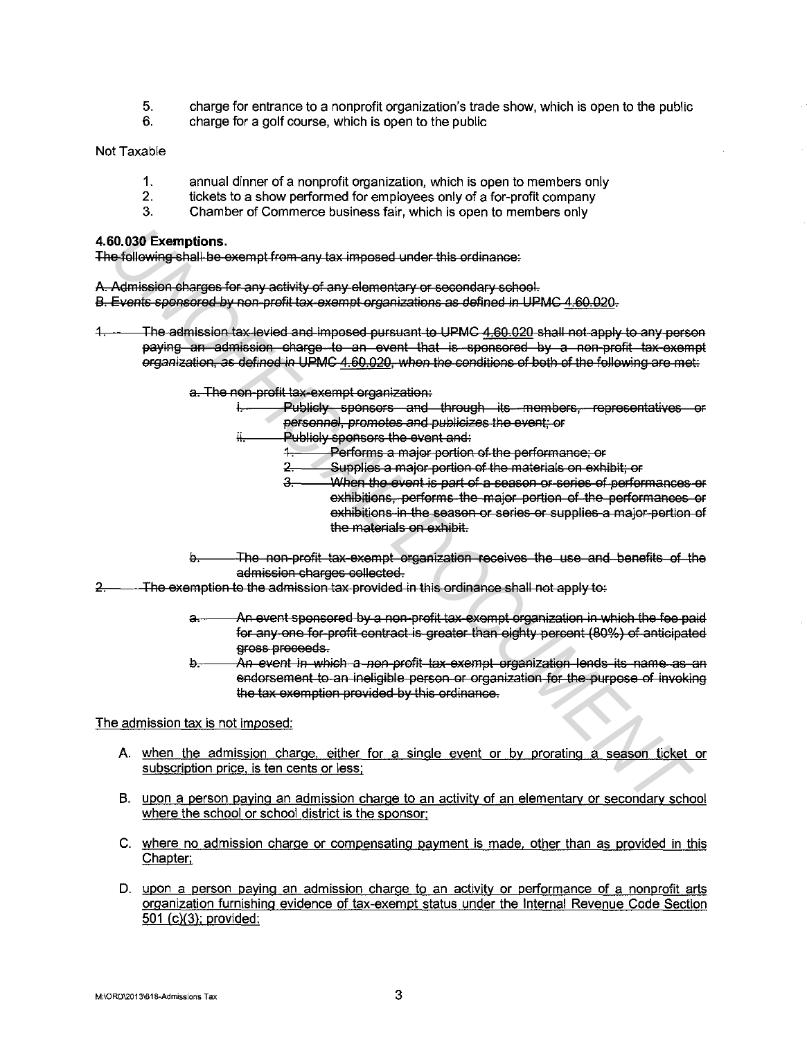- 5. charge for entrance to a nonprofit organization's trade show, which is open to the public
- 6. charge for a golf course, which is open to the public

Not Taxable

- 1. annual dinner of a nonprofit organization, which is open to members only
- 2. tickets to a show performed for employees only of a for-profit company<br>3. Chamber of Commerce business fair, which is open to members only
- Chamber of Commerce business fair, which is open to members only

### **4.60.030 Exemptions.**

The following shall be exempt from any tax imposed under this ordinance:

A. Admission charges for any activity of any elementary or secondary school.

B. Events spensered by non-profit tax exempt organizations as defined in UPMC 4.60.020.

The admission tax levied and imposed pursuant to UPMC 4.60.020 shall not apply to any person paying an admission charge to an event that is spensered by a non-prefit tax-exempt erganization, as defined in UPMC 4.60.020, when the conditions of beth of the following are met: **Examplions.**<br>
Adiciousnig-shall-be example from any-tax-imposed under this ordinance.<br>
Admission drages for any-schirity of any-selementary-or-secondary-chenel.<br>
Events space of any-schirity of any-selementary-or-secondar

a. The non-profit tax-exempt organization:

- Publicly sponsors and through its members, representatives or personnel, promotes and publicizes the event; or
- ii. Publicly sponsors the event and:
	- 1. Perferms a majer pertien ef the perfermanse; er
	- 2. Supplies a majer pertien ef the materials en exhibit; er
	- 3. When the event is part of a season or series of performances or exhibitions, performs the major pertien of the performances or exhibitions in the season or series or supplies a major portion of the materials on exhibit.
- b. The non-profit tax exempt organization receives the use and benefits of the admission charges collected.
- 2. The exemption to the admission tax provided in this ordinance shall not apply to:
	- a. An event sponsored by a non-profit tax exempt organization in which the fee paid for any one for profit contract is greater than eighty percent (80%) of anticipated gross proceeds.
	- b. An event in which a non-profit tax exempt organization lends its name as an endorsement to an ineligible person or organization for the purpose of invoking the tax exemption provided by this ordinance.

The admission tax is not imposed:

- A. when the admission charge, either for a single event or by prorating a season ticket or subscription price, is ten cents or less:
- B. upon a person paying an admission charge to an activity of an elementarv or secondarv school where the school or school district is the sponsor:
- C. where no admission charge or compensating payment is made. other than as provided in this Chapter:
- D. upon a person paying an admission charge to an activity or performance of a nonprofit arts organization furnishing evidence of tax-exempt status under the Internal Revenue Code Section 501 (c)(3); provided: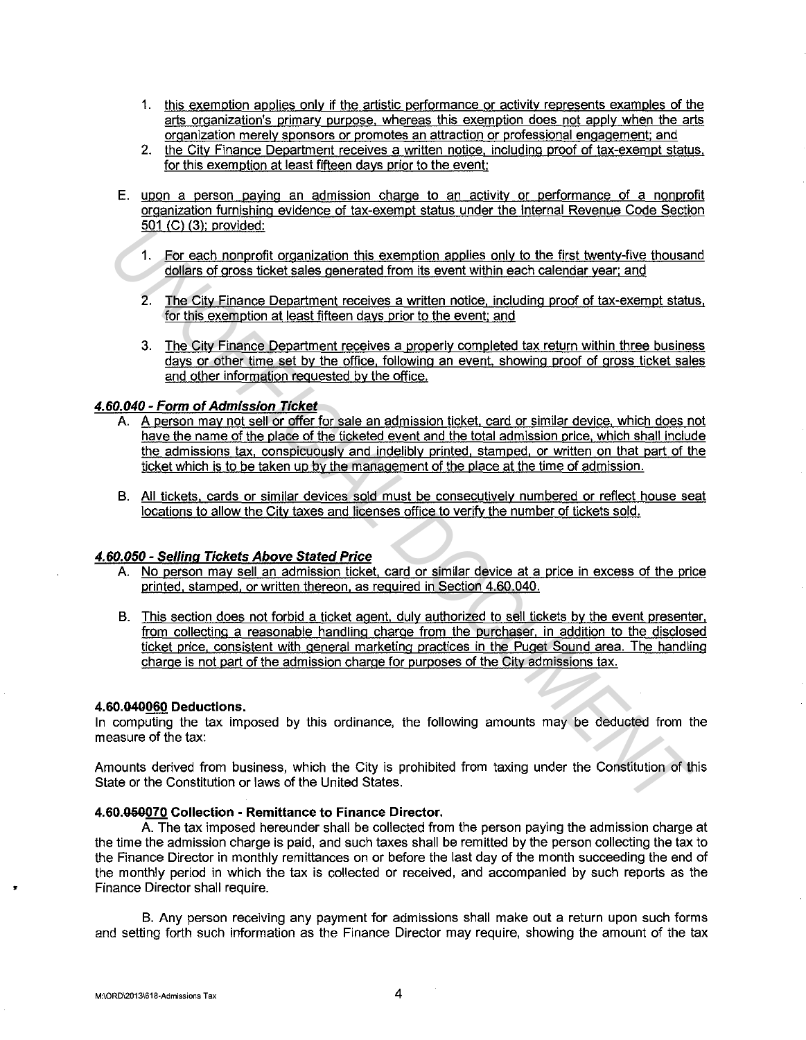- 1. this exemption applies only if the artistic performance or activity represents examples of the arts organization's primary purpose. whereas this exemption does not apply when the arts organization merely sponsors or promotes an attraction or professional engagement; and
- 2. the City Finance Department receives a written notice, including proof of tax-exempt status, for this exemption at least fifteen days prior to the event;
- E. upon a person paying an admission charge to an activity or performance of a nonprofit organization furnishing evidence of tax-exempt status under the Internal Revenue Code Section 501 (C) (3); provided:
	- 1. For each nonprofit organization this exemption applies only to the first twenty-five thousand dollars of gross ticket sales generated from its event within each calendar year: and
	- 2. The City Finance Department receives a written notice, including proof of tax-exempt status, for this exemption at least fifteen days prior to the event; and
	- 3. The City Finance Department receives a properly completed tax return within three business days or other time set by the office, following an event. showing proof of gross ticket sales and other information requested by the office.

## **4.60.040 - Form of Admission Ticket**

- A. A person may not sell or offer for sale an admission ticket. card or similar device, which does not have the name of the place of the ticketed event and the total admission price, which shall include the admissions tax, conspicuously and indelibly printed, stamped, or written on that part of the ticket which is to be taken up by the management of the place at the time of admission.
- B. All tickets, cards or similar devices sold must be consecutively numbered or reflect house seat locations to allow the City taxes and licenses office to verifv the number of tickets sold.

### **4.60.050 - Selling Tickets Above Stated Price**

- A. No person may sell an admission ticket. card or similar device at a price in excess of the price printed, stamped, or written thereon, as required in Section 4.60.040.
- B. This section does not forbid a ticket agent, duly authorized to sell tickets by the event presenter, from collecting a reasonable handling charge from the purchaser, in addition to the disclosed ticket price, consistent with general marketing practices in the Puget Sound area. The handling charge is not part of the admission charge for purposes of the City admissions tax. **1.** For each nonprobable constrained from its exemption applies only to the first twenty-five thousand distant and a distant of the construction of the constrained from the constrained from the event within each calendar

#### **4.60.040060 Deductions.**

In computing the tax imposed by this ordinance, the following amounts may be deducted from the measure of the tax:

Amounts derived from business, which the City is prohibited from taxing under the Constitution of this State or the Constitution or laws of the United States.

#### **4.60.0S0070 Collection - Remittance to Finance Director.**

A. The tax imposed hereunder shall be collected from the person paying the admission charge at the time the admission charge is paid, and such taxes shall be remitted by the person collecting the tax to the Finance Director in monthly remittances on or before the last day of the month succeeding the end of the monthly period in which the tax is collected or received, and accompanied by such reports as the Finance Director shall require.

B. Any person receiving any payment for admissions shall make out a return upon such forms and setting forth such information as the Finance Director may require, showing the amount of the tax

•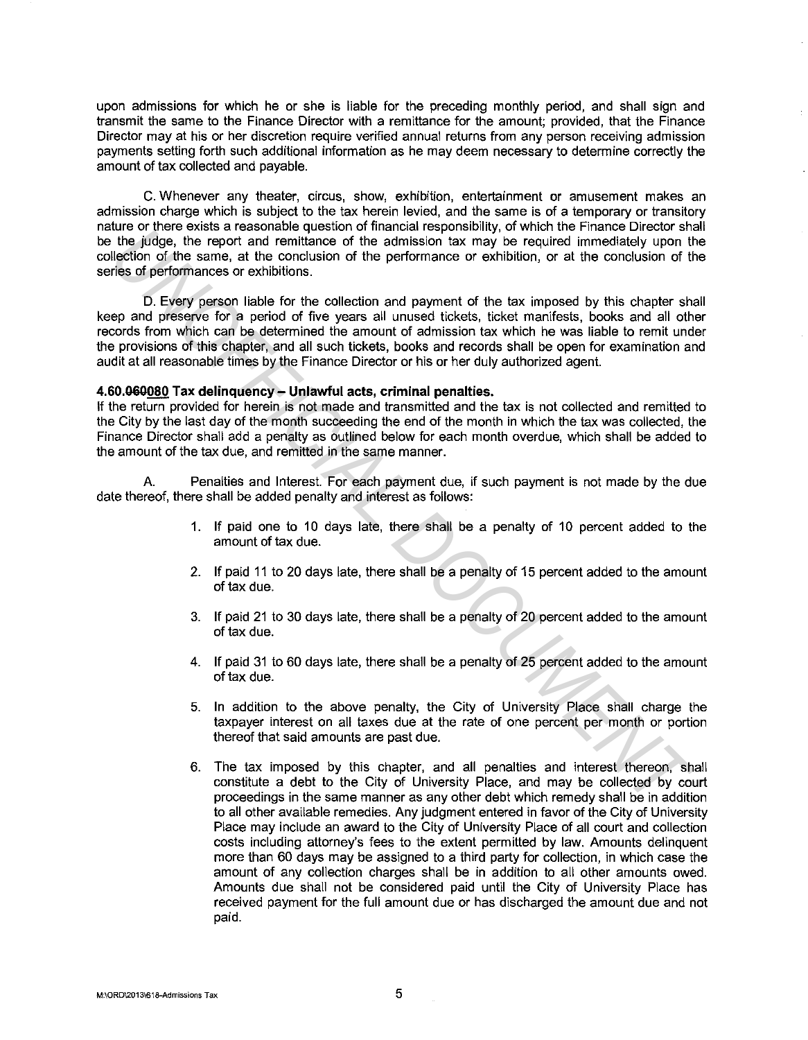upon admissions for which he or she is liable for the preceding monthly period, and shall sign and transmit the same to the Finance Director with a remittance for the amount; provided, that the Finance Director may at his or her discretion require verified annual returns from any person receiving admission payments setting forth such additional information as he may deem necessary to determine correctly the amount of tax collected and payable.

C. Whenever any theater, circus, show, exhibition, entertainment or amusement makes an admission charge which is subject to the tax herein levied, and the same is of a temporary or transitory nature or there exists a reasonable question of financial responsibility, of which the Finance Director shall be the judge, the report and remittance of the admission tax may be required immediately upon the collection of the same, at the conclusion of the performance or exhibition, or at the conclusion of the series of performances or exhibitions.

D. Every person liable for the collection and payment of the tax imposed by this chapter shall keep and preserve for a period of five years all unused tickets, ticket manifests, books and all other records from which can be determined the amount of admission tax which he was liable to remit under the provisions of this chapter, and all such tickets, books and records shall be open for examination and audit at all reasonable times by the Finance Director or his or her duly authorized agent. Une of vients a reasonate question of the admission has may be required immediately upon the vient representation of the performance of the dentistion, or at the conclusion of the price are exhibited in the same at the co

### **4.60.060080 Tax delinquency- Unlawful acts, criminal penalties.**

If the return provided for herein is not made and transmitted and the tax is not collected and remitted to the City by the last day of the month succeeding the end of the month in which the tax was collected, the Finance Director shall add a penalty as outlined below for each month overdue, which shall be added to the amount of the tax due, and remitted in the same manner.

A. Penalties and Interest. For each payment due, if such payment is not made by the due date thereof, there shall be added penalty and interest as follows:

- 1. If paid one to 10 days late, there shall be a penalty of 10 percent added to the amount of tax due.
- 2. If paid 11 to 20 days late, there shall be a penalty of 15 percent added to the amount of tax due.
- 3. If paid 21 to 30 days late, there shall be a penalty of 20 percent added to the amount of tax due.
- 4. If paid 31 to 60 days late, there shall be a penalty of 25 percent added to the amount of tax due.
- 5. In addition to the above penalty, the City of University Place shall charge the taxpayer interest on all taxes due at the rate of one percent per month or portion thereof that said amounts are past due.
- 6. The tax imposed by this chapter, and all penalties and interest thereon, shall constitute a debt to the City of University Place, and may be collected by court proceedings in the same manner as any other debt which remedy shall be in addition to all other available remedies. Any judgment entered in favor of the City of University Place may include an award to the City of University Place of all court and collection costs including attorney's fees to the extent permitted by law. Amounts delinquent more than 60 days may be assigned to a third party for collection, in which case the amount of any collection charges shall be in addition to all other amounts owed. Amounts due shall not be considered paid until the City of University Place has received payment for the full amount due or has discharged the amount due and not paid.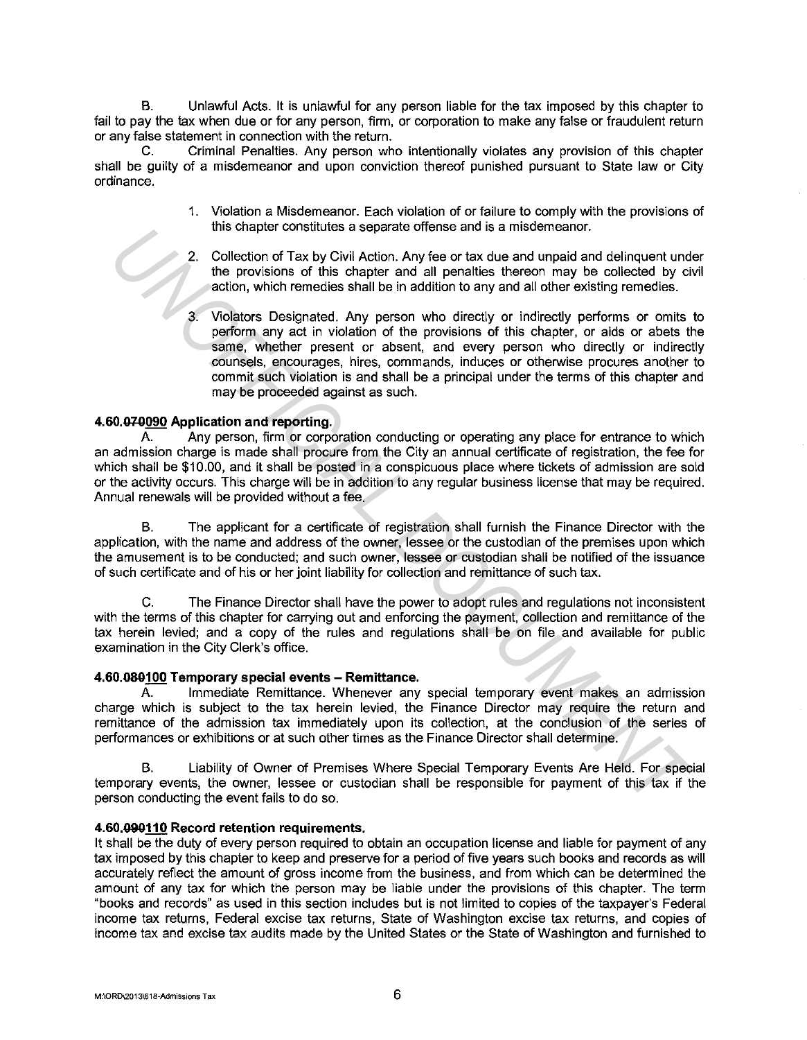B. Unlawful Acts. It is unlawful for any person liable for the tax imposed by this chapter to fail to pay the tax when due or for any person, firm, or corporation to make any false or fraudulent return or any false statement in connection with the return.

C. Criminal Penalties. Any person who intentionally violates any provision of this chapter shall be guilty of a misdemeanor and upon conviction thereof punished pursuant to State law or City ordinance.

- 1. Violation a Misdemeanor. Each violation of or failure to comply with the provisions of this chapter constitutes a separate offense and is a misdemeanor.
- 2. Collection of Tax by Civil Action. Any fee or tax due and unpaid and delinquent under the provisions of this chapter and all penalties thereon may be collected by civil action, which remedies shall be in addition to any and all other existing remedies.
- 3. Violators Designated. Any person who directly or indirectly performs or omits to perform any act in violation of the provisions of this chapter, or aids or abets the same, whether present or absent, and every person who directly or indirectly counsels, encourages, hires, commands, induces or otherwise procures another to commit such violation is and shall be a principal under the terms of this chapter and may be proceeded against as such. Ins chapter constitutes a separate oriens and is a inistementation.<br>
2. Collection of Tax by Civil Action. Any fee or tax due and unpaid and delinquent und<br>
the provisions of this chapter and all penalties thereon may be c

### **4.60.010090 Application and reporting.**

A. Any person, firm or corporation conducting or operating any place for entrance to which an admission charge is made shall procure from the City an annual certificate of registration, the fee for which shall be \$10.00, and it shall be posted in a conspicuous place where tickets of admission are sold or the activity occurs. This charge will be in addition to any regular business license that may be required. Annual renewals will be provided without a fee.

B. The applicant for a certificate of registration shall furnish the Finance Director with the application, with the name and address of the owner, lessee or the custodian of the premises upon which the amusement is to be conducted; and such owner, lessee or custodian shall be notified of the issuance of such certificate and of his or her joint liability for collection and remittance of such tax.

C. The Finance Director shall have the power to adopt rules and regulations not inconsistent with the terms of this chapter for carrying out and enforcing the payment, collection and remittance of the tax herein levied; and a copy of the rules and regulations shall be on file and available for public examination in the City Clerk's office.

### **4.60.080100 Temporary special events - Remittance.**

A. Immediate Remittance. Whenever any special temporary event makes an admission charge which is subject to the tax herein levied, the Finance Director may require the return and remittance of the admission tax immediately upon its collection, at the conclusion of the series of performances or exhibitions or at such other times as the Finance Director shall determine.

B. Liability of Owner of Premises Where Special Temporary Events Are Held. For special temporary events, the owner, lessee or custodian shall be responsible for payment of this tax if the person conducting the event fails to do so.

#### **4.60.090110 Record retention requirements.**

It shall be the duty of every person required to obtain an occupation license and liable for payment of any tax imposed by this chapter to keep and preserve for a period of five years such books and records as will accurately reflect the amount of gross income from the business, and from which can be determined the amount of any tax for which the person may be liable under the provisions of this chapter. The term "books and records" as used in this section includes but is not limited to copies of the taxpayer's Federal income tax returns, Federal excise tax returns, State of Washington excise tax returns, and copies of income tax and excise tax audits made by the United States or the State of Washington and furnished to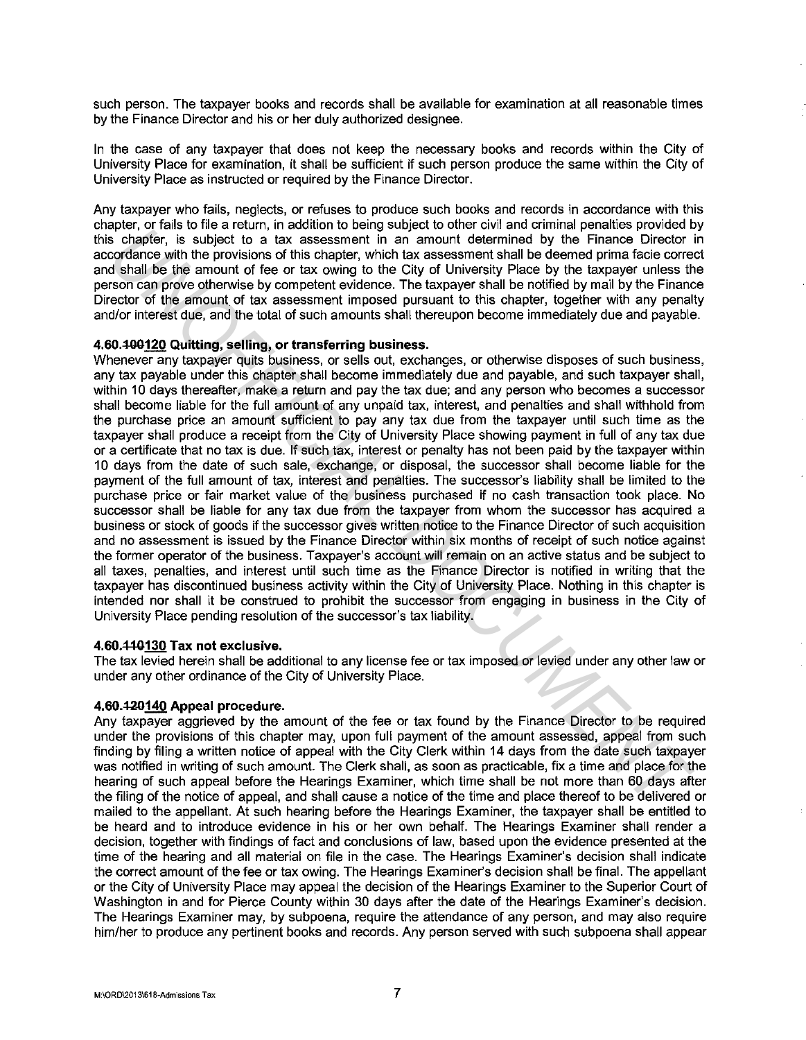such person. The taxpayer books and records shall be available for examination at all reasonable times by the Finance Director and his or her duly authorized designee.

In the case of any taxpayer that does not keep the necessary books and records within the City of University Place for examination, it shall be sufficient if such person produce the same within the City of University Place as instructed or required by the Finance Director.

Any taxpayer who fails, neglects, or refuses to produce such books and records in accordance with this chapter, or fails to file a return, in addition to being subject to other civil and criminal penalties provided by this chapter, is subject to a tax assessment in an amount determined by the Finance Director in accordance with the provisions of this chapter, which tax assessment shall be deemed prima facie correct and shall be the amount of fee or tax owing to the City of University Place by the taxpayer unless the person can prove otherwise by competent evidence. The taxpayer shall be notified by mail by the Finance Director of the amount of tax assessment imposed pursuant to this chapter, together with any penalty and/or interest due, and the total of such amounts shall thereupon become immediately due and payable.

### **4.60.-100120 Quitting, selling, or transferring business.**

Whenever any taxpayer quits business, or sells out, exchanges, or otherwise disposes of such business, any tax payable under this chapter shall become immediately due and payable, and such taxpayer shall, within 10 days thereafter, make a return and pay the tax due; and any person who becomes a successor shall become liable for the full amount of any unpaid tax, interest, and penalties and shall withhold from the purchase price an amount sufficient to pay any tax due from the taxpayer until such time as the taxpayer shall produce a receipt from the City of University Place showing payment in full of any tax due or a certificate that no tax is due. If such tax, interest or penalty has not been paid by the taxpayer within 10 days from the date of such sale, exchange, or disposal, the successor shall become liable for the payment of the full amount of tax, interest and penalties. The successor's liability shall be limited to the purchase price or fair market value of the business purchased if no cash transaction took place. No successor shall be liable for any tax due from the taxpayer from whom the successor has acquired a business or stock of goods if the successor gives written notice to the Finance Director of such acquisition and no assessment is issued by the Finance Director within six months of receipt of such notice against the former operator of the business. Taxpayer's account will remain on an active status and be subject to all taxes, penalties, and interest until such time as the Finance Director is notified in writing that the taxpayer has discontinued business activity within the City of University Place. Nothing in this chapter is intended nor shall it be construed to prohibit the successor from engaging in business in the City of University Place pending resolution of the successor's tax liability. place, or its in converted in a mount of the systems of the constrained permission of the system of the provision of the system in the place of the constraints of the provision of the provision of the system in the provisi

#### **4.60.44-0130 Tax not exclusive.**

The tax levied herein shall be additional to any license fee or tax imposed or levied under any other law or under any other ordinance of the City of University Place.

#### **4.60.420140 Appeal procedure.**

Any taxpayer aggrieved by the amount of the fee or tax found by the Finance Director to be required under the provisions of this chapter may, upon full payment of the amount assessed, appeal from such finding by filing a written notice of appeal with the City Clerk within 14 days from the date such taxpayer was notified in writing of such amount. The Clerk shall, as soon as practicable, fix a time and place for the hearing of such appeal before the Hearings Examiner, which time shall be not more than 60 days after the filing of the notice of appeal, and shall cause a notice of the time and place thereof to be delivered or mailed to the appellant. At such hearing before the Hearings Examiner, the taxpayer shall be entitled to be heard and to introduce evidence in his or her own behalf. The Hearings Examiner shall render a decision, together with findings of fact and conclusions of law, based upon the evidence presented at the time of the hearing and all material on file in the case. The Hearings Examiner's decision shall indicate the correct amount of the fee or tax owing. The Hearings Examiner's decision shall be final. The appellant or the City of University Place may appeal the decision of the Hearings Examiner to the Superior Court of Washington in and for Pierce County within 30 days after the date of the Hearings Examiner's decision. The Hearings Examiner may, by subpoena, require the attendance of any person, and may also require him/her to produce any pertinent books and records. Any person served with such subpoena shall appear